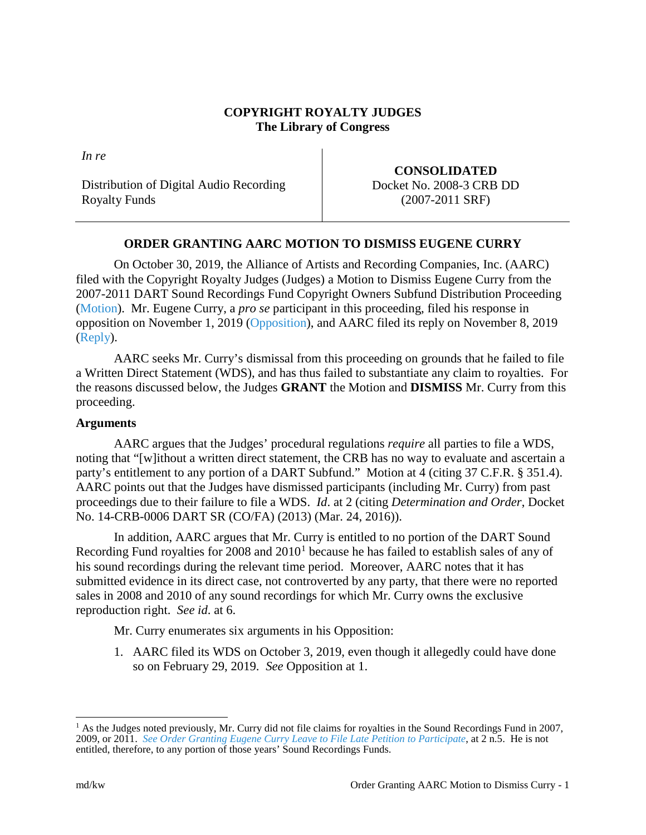## **COPYRIGHT ROYALTY JUDGES The Library of Congress**

*In re*

Distribution of Digital Audio Recording Royalty Funds

**CONSOLIDATED** Docket No. 2008-3 CRB DD (2007-2011 SRF)

# **ORDER GRANTING AARC MOTION TO DISMISS EUGENE CURRY**

On October 30, 2019, the Alliance of Artists and Recording Companies, Inc. (AARC) filed with the Copyright Royalty Judges (Judges) a Motion to Dismiss Eugene Curry from the 2007-2011 DART Sound Recordings Fund Copyright Owners Subfund Distribution Proceeding [\(Motion\)](https://app.crb.gov/case/viewDocument/12340). Mr. Eugene Curry, a *pro se* participant in this proceeding, filed his response in opposition on November 1, 2019 [\(Opposition\)](https://app.crb.gov/case/viewDocument/12981), and AARC filed its reply on November 8, 2019 [\(Reply\)](https://app.crb.gov/case/viewDocument/15232).

AARC seeks Mr. Curry's dismissal from this proceeding on grounds that he failed to file a Written Direct Statement (WDS), and has thus failed to substantiate any claim to royalties. For the reasons discussed below, the Judges **GRANT** the Motion and **DISMISS** Mr. Curry from this proceeding.

#### **Arguments**

AARC argues that the Judges' procedural regulations *require* all parties to file a WDS, noting that "[w]ithout a written direct statement, the CRB has no way to evaluate and ascertain a party's entitlement to any portion of a DART Subfund." Motion at 4 (citing 37 C.F.R. § 351.4). AARC points out that the Judges have dismissed participants (including Mr. Curry) from past proceedings due to their failure to file a WDS. *Id*. at 2 (citing *Determination and Order*, Docket No. 14-CRB-0006 DART SR (CO/FA) (2013) (Mar. 24, 2016)).

In addition, AARC argues that Mr. Curry is entitled to no portion of the DART Sound Recording Fund royalties for  $2008$  and  $2010<sup>1</sup>$  $2010<sup>1</sup>$  $2010<sup>1</sup>$  because he has failed to establish sales of any of his sound recordings during the relevant time period. Moreover, AARC notes that it has submitted evidence in its direct case, not controverted by any party, that there were no reported sales in 2008 and 2010 of any sound recordings for which Mr. Curry owns the exclusive reproduction right. *See id*. at 6.

Mr. Curry enumerates six arguments in his Opposition:

1. AARC filed its WDS on October 3, 2019, even though it allegedly could have done so on February 29, 2019. *See* Opposition at 1.

<span id="page-0-0"></span> $1$  As the Judges noted previously, Mr. Curry did not file claims for royalties in the Sound Recordings Fund in 2007, 2009, or 2011. *[See Order Granting Eugene Curry Leave to File Late Petition to Participate](https://app.crb.gov/case/viewDocument/3860)*, at 2 n.5. He is not entitled, therefore, to any portion of those years' Sound Recordings Funds.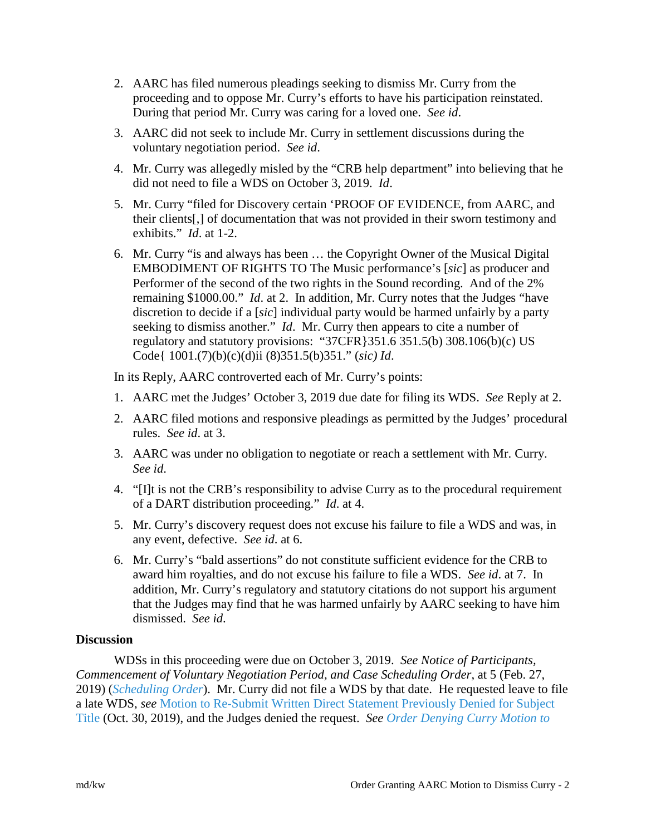- 2. AARC has filed numerous pleadings seeking to dismiss Mr. Curry from the proceeding and to oppose Mr. Curry's efforts to have his participation reinstated. During that period Mr. Curry was caring for a loved one. *See id*.
- 3. AARC did not seek to include Mr. Curry in settlement discussions during the voluntary negotiation period. *See id*.
- 4. Mr. Curry was allegedly misled by the "CRB help department" into believing that he did not need to file a WDS on October 3, 2019. *Id*.
- 5. Mr. Curry "filed for Discovery certain 'PROOF OF EVIDENCE, from AARC, and their clients[,] of documentation that was not provided in their sworn testimony and exhibits." *Id*. at 1-2.
- 6. Mr. Curry "is and always has been … the Copyright Owner of the Musical Digital EMBODIMENT OF RIGHTS TO The Music performance's [*sic*] as producer and Performer of the second of the two rights in the Sound recording. And of the 2% remaining \$1000.00." *Id*. at 2. In addition, Mr. Curry notes that the Judges "have discretion to decide if a [*sic*] individual party would be harmed unfairly by a party seeking to dismiss another." *Id*. Mr. Curry then appears to cite a number of regulatory and statutory provisions: "37CFR}351.6 351.5(b) 308.106(b)(c) US Code{ 1001.(7)(b)(c)(d)ii (8)351.5(b)351." (*sic) Id*.

In its Reply, AARC controverted each of Mr. Curry's points:

- 1. AARC met the Judges' October 3, 2019 due date for filing its WDS. *See* Reply at 2.
- 2. AARC filed motions and responsive pleadings as permitted by the Judges' procedural rules. *See id*. at 3.
- 3. AARC was under no obligation to negotiate or reach a settlement with Mr. Curry. *See id*.
- 4. "[I]t is not the CRB's responsibility to advise Curry as to the procedural requirement of a DART distribution proceeding." *Id*. at 4.
- 5. Mr. Curry's discovery request does not excuse his failure to file a WDS and was, in any event, defective. *See id*. at 6.
- 6. Mr. Curry's "bald assertions" do not constitute sufficient evidence for the CRB to award him royalties, and do not excuse his failure to file a WDS. *See id*. at 7. In addition, Mr. Curry's regulatory and statutory citations do not support his argument that the Judges may find that he was harmed unfairly by AARC seeking to have him dismissed. *See id*.

## **Discussion**

WDSs in this proceeding were due on October 3, 2019. *See Notice of Participants, Commencement of Voluntary Negotiation Period, and Case Scheduling Order*, at 5 (Feb. 27, 2019) (*[Scheduling Order](https://app.crb.gov/case/viewDocument/3729)*). Mr. Curry did not file a WDS by that date. He requested leave to file a late WDS, *see* [Motion to Re-Submit Written Direct Statement Previously Denied for Subject](https://app.crb.gov/case/viewDocument/12350)  [Title](https://app.crb.gov/case/viewDocument/12350) (Oct. 30, 2019), and the Judges denied the request. *See [Order Denying Curry Motion to](https://app.crb.gov/case/viewDocument/15281)*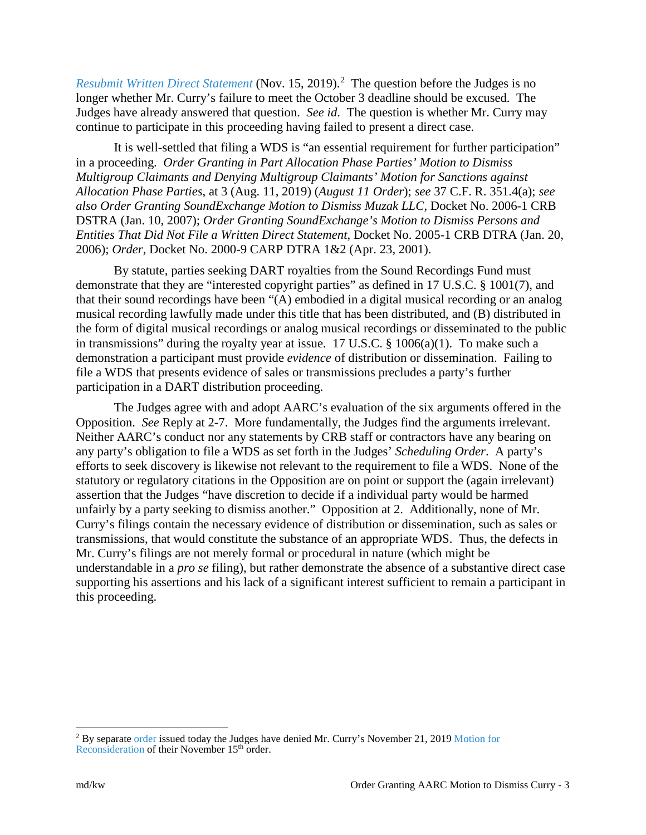[Resubmit Written Direct Statement](https://app.crb.gov/case/viewDocument/15281) (Nov. 15, [2](#page-2-0)019).<sup>2</sup> The question before the Judges is no longer whether Mr. Curry's failure to meet the October 3 deadline should be excused. The Judges have already answered that question. *See id*. The question is whether Mr. Curry may continue to participate in this proceeding having failed to present a direct case.

It is well-settled that filing a WDS is "an essential requirement for further participation" in a proceeding. *Order Granting in Part Allocation Phase Parties' Motion to Dismiss Multigroup Claimants and Denying Multigroup Claimants' Motion for Sanctions against Allocation Phase Parties*, at 3 (Aug. 11, 2019) (*August 11 Order*); *see* 37 C.F. R. 351.4(a); *see also Order Granting SoundExchange Motion to Dismiss Muzak LLC*, Docket No. 2006-1 CRB DSTRA (Jan. 10, 2007); *Order Granting SoundExchange's Motion to Dismiss Persons and Entities That Did Not File a Written Direct Statement*, Docket No. 2005-1 CRB DTRA (Jan. 20, 2006); *Order*, Docket No. 2000-9 CARP DTRA 1&2 (Apr. 23, 2001).

By statute, parties seeking DART royalties from the Sound Recordings Fund must demonstrate that they are "interested copyright parties" as defined in 17 U.S.C. § 1001(7), and that their sound recordings have been "(A) embodied in a digital musical recording or an analog musical recording lawfully made under this title that has been distributed, and (B) distributed in the form of digital musical recordings or analog musical recordings or disseminated to the public in transmissions" during the royalty year at issue. 17 U.S.C. § 1006(a)(1). To make such a demonstration a participant must provide *evidence* of distribution or dissemination. Failing to file a WDS that presents evidence of sales or transmissions precludes a party's further participation in a DART distribution proceeding.

The Judges agree with and adopt AARC's evaluation of the six arguments offered in the Opposition. *See* Reply at 2-7. More fundamentally, the Judges find the arguments irrelevant. Neither AARC's conduct nor any statements by CRB staff or contractors have any bearing on any party's obligation to file a WDS as set forth in the Judges' *Scheduling Order*. A party's efforts to seek discovery is likewise not relevant to the requirement to file a WDS. None of the statutory or regulatory citations in the Opposition are on point or support the (again irrelevant) assertion that the Judges "have discretion to decide if a individual party would be harmed unfairly by a party seeking to dismiss another." Opposition at 2. Additionally, none of Mr. Curry's filings contain the necessary evidence of distribution or dissemination, such as sales or transmissions, that would constitute the substance of an appropriate WDS. Thus, the defects in Mr. Curry's filings are not merely formal or procedural in nature (which might be understandable in a *pro se* filing), but rather demonstrate the absence of a substantive direct case supporting his assertions and his lack of a significant interest sufficient to remain a participant in this proceeding.

<span id="page-2-0"></span><sup>&</sup>lt;sup>2</sup> By separate [order](https://app.crb.gov/case/viewDocument/20244) issued today the Judges have denied Mr. Curry's November 21, 2019 Motion for [Reconsideration](https://app.crb.gov/case/viewDocument/15706) of their November 15<sup>th</sup> order.